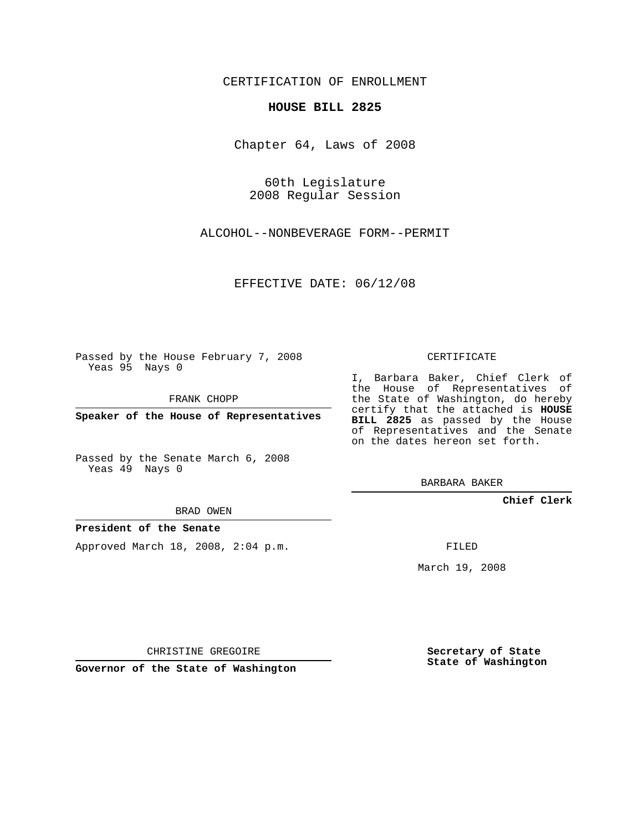## CERTIFICATION OF ENROLLMENT

## **HOUSE BILL 2825**

Chapter 64, Laws of 2008

60th Legislature 2008 Regular Session

ALCOHOL--NONBEVERAGE FORM--PERMIT

EFFECTIVE DATE: 06/12/08

Passed by the House February 7, 2008 Yeas 95 Nays 0

FRANK CHOPP

**Speaker of the House of Representatives**

Passed by the Senate March 6, 2008 Yeas 49 Nays 0

BRAD OWEN

## **President of the Senate**

Approved March 18, 2008, 2:04 p.m.

CERTIFICATE

I, Barbara Baker, Chief Clerk of the House of Representatives of the State of Washington, do hereby certify that the attached is **HOUSE BILL 2825** as passed by the House of Representatives and the Senate on the dates hereon set forth.

BARBARA BAKER

**Chief Clerk**

FILED

March 19, 2008

CHRISTINE GREGOIRE

**Governor of the State of Washington**

**Secretary of State State of Washington**